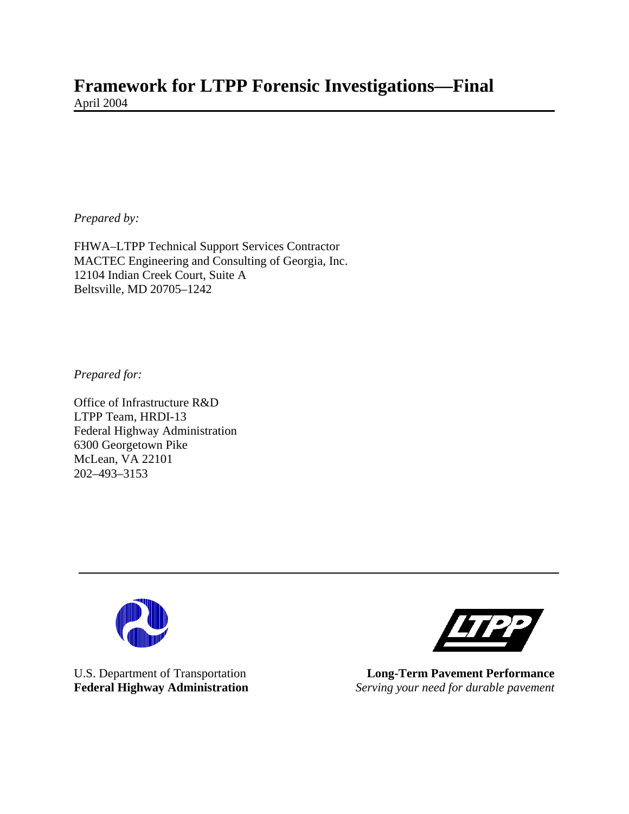# **Framework for LTPP Forensic Investigations—Final**  April 2004

*Prepared by:*

FHWA–LTPP Technical Support Services Contractor MACTEC Engineering and Consulting of Georgia, Inc. 12104 Indian Creek Court, Suite A Beltsville, MD 20705–1242

*Prepared for:*

Office of Infrastructure R&D LTPP Team, HRDI-13 Federal Highway Administration 6300 Georgetown Pike McLean, VA 22101 202–493–3153





U.S. Department of Transportation **Long-Term Pavement Performance**<br> **Federal Highway Administration** *Serving your need for durable pavement* **Serving your need for durable pavement**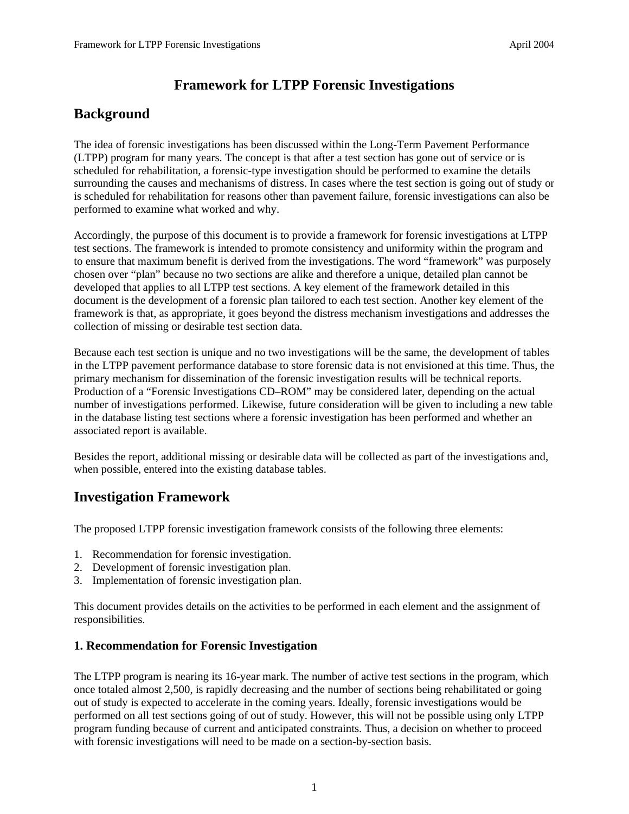## **Framework for LTPP Forensic Investigations**

## **Background**

The idea of forensic investigations has been discussed within the Long-Term Pavement Performance (LTPP) program for many years. The concept is that after a test section has gone out of service or is scheduled for rehabilitation, a forensic-type investigation should be performed to examine the details surrounding the causes and mechanisms of distress. In cases where the test section is going out of study or is scheduled for rehabilitation for reasons other than pavement failure, forensic investigations can also be performed to examine what worked and why.

Accordingly, the purpose of this document is to provide a framework for forensic investigations at LTPP test sections. The framework is intended to promote consistency and uniformity within the program and to ensure that maximum benefit is derived from the investigations. The word "framework" was purposely chosen over "plan" because no two sections are alike and therefore a unique, detailed plan cannot be developed that applies to all LTPP test sections. A key element of the framework detailed in this document is the development of a forensic plan tailored to each test section. Another key element of the framework is that, as appropriate, it goes beyond the distress mechanism investigations and addresses the collection of missing or desirable test section data.

Because each test section is unique and no two investigations will be the same, the development of tables in the LTPP pavement performance database to store forensic data is not envisioned at this time. Thus, the primary mechanism for dissemination of the forensic investigation results will be technical reports. Production of a "Forensic Investigations CD–ROM" may be considered later, depending on the actual number of investigations performed. Likewise, future consideration will be given to including a new table in the database listing test sections where a forensic investigation has been performed and whether an associated report is available.

Besides the report, additional missing or desirable data will be collected as part of the investigations and, when possible, entered into the existing database tables.

## **Investigation Framework**

The proposed LTPP forensic investigation framework consists of the following three elements:

- 1. Recommendation for forensic investigation.
- 2. Development of forensic investigation plan.
- 3. Implementation of forensic investigation plan.

This document provides details on the activities to be performed in each element and the assignment of responsibilities.

#### **1. Recommendation for Forensic Investigation**

The LTPP program is nearing its 16-year mark. The number of active test sections in the program, which once totaled almost 2,500, is rapidly decreasing and the number of sections being rehabilitated or going out of study is expected to accelerate in the coming years. Ideally, forensic investigations would be performed on all test sections going of out of study. However, this will not be possible using only LTPP program funding because of current and anticipated constraints. Thus, a decision on whether to proceed with forensic investigations will need to be made on a section-by-section basis.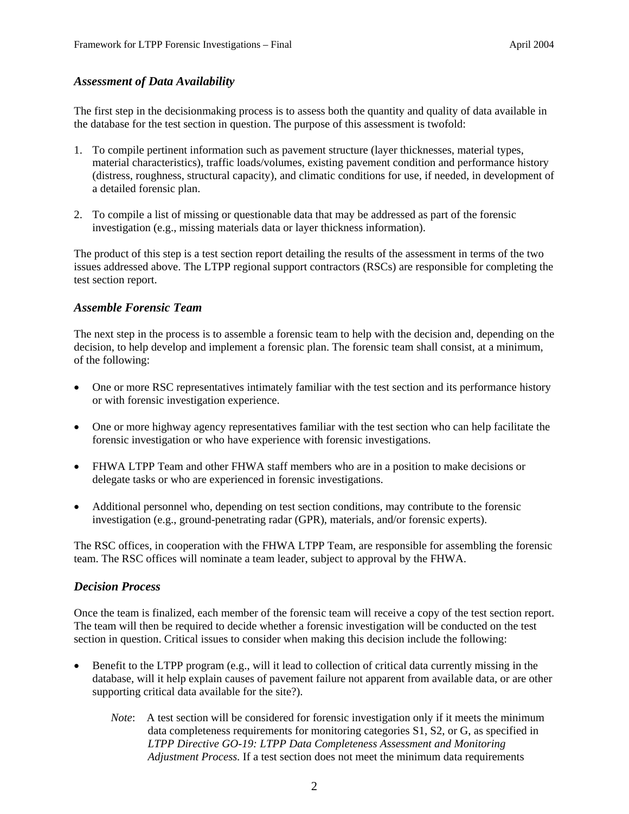#### *Assessment of Data Availability*

The first step in the decisionmaking process is to assess both the quantity and quality of data available in the database for the test section in question. The purpose of this assessment is twofold:

- 1. To compile pertinent information such as pavement structure (layer thicknesses, material types, material characteristics), traffic loads/volumes, existing pavement condition and performance history (distress, roughness, structural capacity), and climatic conditions for use, if needed, in development of a detailed forensic plan.
- 2. To compile a list of missing or questionable data that may be addressed as part of the forensic investigation (e.g., missing materials data or layer thickness information).

The product of this step is a test section report detailing the results of the assessment in terms of the two issues addressed above. The LTPP regional support contractors (RSCs) are responsible for completing the test section report.

#### *Assemble Forensic Team*

The next step in the process is to assemble a forensic team to help with the decision and, depending on the decision, to help develop and implement a forensic plan. The forensic team shall consist, at a minimum, of the following:

- One or more RSC representatives intimately familiar with the test section and its performance history or with forensic investigation experience.
- One or more highway agency representatives familiar with the test section who can help facilitate the forensic investigation or who have experience with forensic investigations.
- FHWA LTPP Team and other FHWA staff members who are in a position to make decisions or delegate tasks or who are experienced in forensic investigations.
- Additional personnel who, depending on test section conditions, may contribute to the forensic investigation (e.g., ground-penetrating radar (GPR), materials, and/or forensic experts).

The RSC offices, in cooperation with the FHWA LTPP Team, are responsible for assembling the forensic team. The RSC offices will nominate a team leader, subject to approval by the FHWA.

#### *Decision Process*

Once the team is finalized, each member of the forensic team will receive a copy of the test section report. The team will then be required to decide whether a forensic investigation will be conducted on the test section in question. Critical issues to consider when making this decision include the following:

- Benefit to the LTPP program (e.g., will it lead to collection of critical data currently missing in the database, will it help explain causes of pavement failure not apparent from available data, or are other supporting critical data available for the site?).
	- *Note*: A test section will be considered for forensic investigation only if it meets the minimum data completeness requirements for monitoring categories S1, S2, or G, as specified in *LTPP Directive GO-19: LTPP Data Completeness Assessment and Monitoring Adjustment Process.* If a test section does not meet the minimum data requirements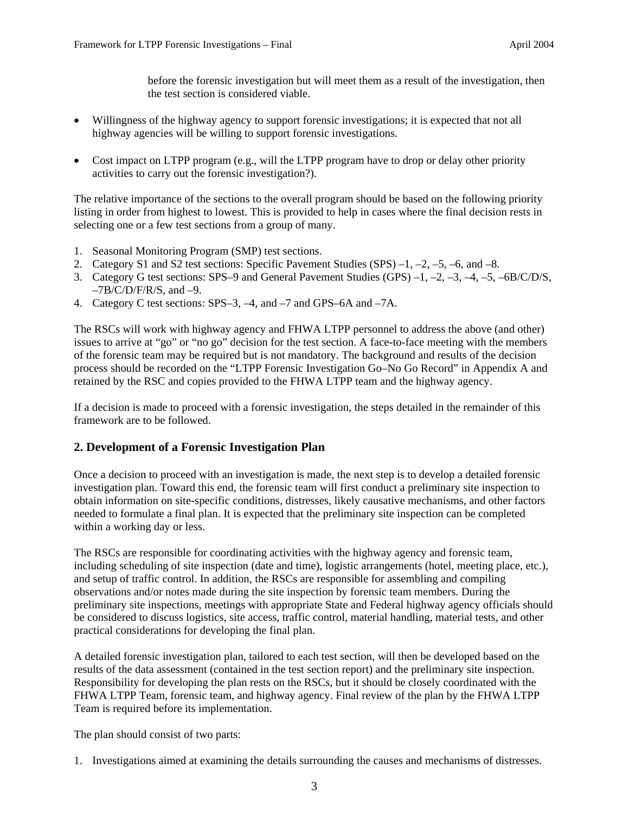before the forensic investigation but will meet them as a result of the investigation, then the test section is considered viable.

- Willingness of the highway agency to support forensic investigations; it is expected that not all highway agencies will be willing to support forensic investigations.
- Cost impact on LTPP program (e.g., will the LTPP program have to drop or delay other priority activities to carry out the forensic investigation?).

The relative importance of the sections to the overall program should be based on the following priority listing in order from highest to lowest. This is provided to help in cases where the final decision rests in selecting one or a few test sections from a group of many.

- 1. Seasonal Monitoring Program (SMP) test sections.
- 2. Category S1 and S2 test sections: Specific Pavement Studies (SPS) –1, –2, –5, –6, and –8.
- 3. Category G test sections: SPS–9 and General Pavement Studies (GPS) –1, –2, –3, –4, –5, –6B/C/D/S,  $-7B/C/D/F/R/S$ , and  $-9$ .
- 4. Category C test sections: SPS–3, –4, and –7 and GPS–6A and –7A.

The RSCs will work with highway agency and FHWA LTPP personnel to address the above (and other) issues to arrive at "go" or "no go" decision for the test section. A face-to-face meeting with the members of the forensic team may be required but is not mandatory. The background and results of the decision process should be recorded on the "LTPP Forensic Investigation Go–No Go Record" in Appendix A and retained by the RSC and copies provided to the FHWA LTPP team and the highway agency.

If a decision is made to proceed with a forensic investigation, the steps detailed in the remainder of this framework are to be followed.

#### **2. Development of a Forensic Investigation Plan**

Once a decision to proceed with an investigation is made, the next step is to develop a detailed forensic investigation plan. Toward this end, the forensic team will first conduct a preliminary site inspection to obtain information on site-specific conditions, distresses, likely causative mechanisms, and other factors needed to formulate a final plan. It is expected that the preliminary site inspection can be completed within a working day or less.

The RSCs are responsible for coordinating activities with the highway agency and forensic team, including scheduling of site inspection (date and time), logistic arrangements (hotel, meeting place, etc.), and setup of traffic control. In addition, the RSCs are responsible for assembling and compiling observations and/or notes made during the site inspection by forensic team members. During the preliminary site inspections, meetings with appropriate State and Federal highway agency officials should be considered to discuss logistics, site access, traffic control, material handling, material tests, and other practical considerations for developing the final plan.

A detailed forensic investigation plan, tailored to each test section, will then be developed based on the results of the data assessment (contained in the test section report) and the preliminary site inspection. Responsibility for developing the plan rests on the RSCs, but it should be closely coordinated with the FHWA LTPP Team, forensic team, and highway agency. Final review of the plan by the FHWA LTPP Team is required before its implementation.

The plan should consist of two parts:

1. Investigations aimed at examining the details surrounding the causes and mechanisms of distresses.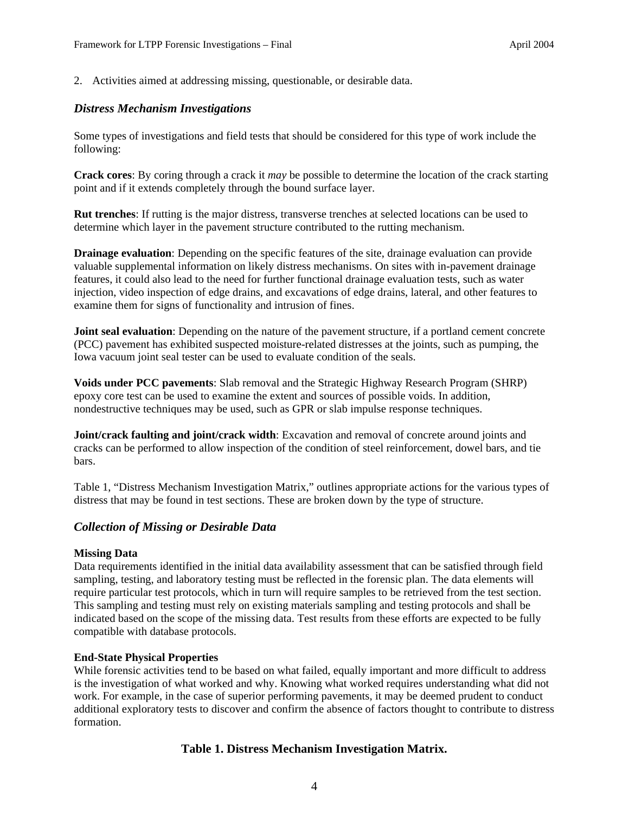2. Activities aimed at addressing missing, questionable, or desirable data.

#### *Distress Mechanism Investigations*

Some types of investigations and field tests that should be considered for this type of work include the following:

**Crack cores**: By coring through a crack it *may* be possible to determine the location of the crack starting point and if it extends completely through the bound surface layer.

**Rut trenches**: If rutting is the major distress, transverse trenches at selected locations can be used to determine which layer in the pavement structure contributed to the rutting mechanism.

**Drainage evaluation**: Depending on the specific features of the site, drainage evaluation can provide valuable supplemental information on likely distress mechanisms. On sites with in-pavement drainage features, it could also lead to the need for further functional drainage evaluation tests, such as water injection, video inspection of edge drains, and excavations of edge drains, lateral, and other features to examine them for signs of functionality and intrusion of fines.

**Joint seal evaluation**: Depending on the nature of the pavement structure, if a portland cement concrete (PCC) pavement has exhibited suspected moisture-related distresses at the joints, such as pumping, the Iowa vacuum joint seal tester can be used to evaluate condition of the seals.

**Voids under PCC pavements**: Slab removal and the Strategic Highway Research Program (SHRP) epoxy core test can be used to examine the extent and sources of possible voids. In addition, nondestructive techniques may be used, such as GPR or slab impulse response techniques.

**Joint/crack faulting and joint/crack width**: Excavation and removal of concrete around joints and cracks can be performed to allow inspection of the condition of steel reinforcement, dowel bars, and tie bars.

Table 1, "Distress Mechanism Investigation Matrix," outlines appropriate actions for the various types of distress that may be found in test sections. These are broken down by the type of structure.

#### *Collection of Missing or Desirable Data*

#### **Missing Data**

Data requirements identified in the initial data availability assessment that can be satisfied through field sampling, testing, and laboratory testing must be reflected in the forensic plan. The data elements will require particular test protocols, which in turn will require samples to be retrieved from the test section. This sampling and testing must rely on existing materials sampling and testing protocols and shall be indicated based on the scope of the missing data. Test results from these efforts are expected to be fully compatible with database protocols.

#### **End-State Physical Properties**

While forensic activities tend to be based on what failed, equally important and more difficult to address is the investigation of what worked and why. Knowing what worked requires understanding what did not work. For example, in the case of superior performing pavements, it may be deemed prudent to conduct additional exploratory tests to discover and confirm the absence of factors thought to contribute to distress formation.

#### **Table 1. Distress Mechanism Investigation Matrix.**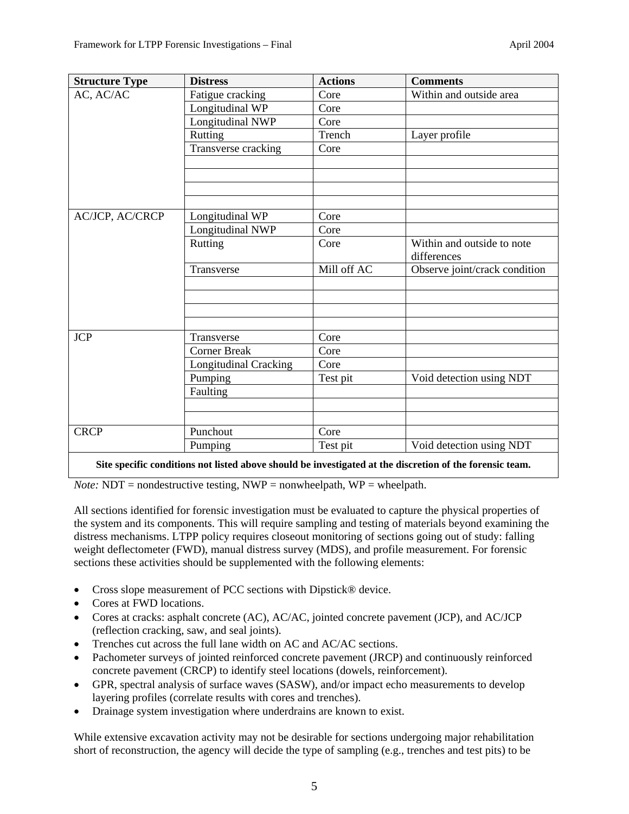| <b>Structure Type</b> | <b>Distress</b>              | <b>Actions</b> | <b>Comments</b>               |
|-----------------------|------------------------------|----------------|-------------------------------|
| AC, AC/AC             | Fatigue cracking             | Core           | Within and outside area       |
|                       | Longitudinal WP              | Core           |                               |
|                       | Longitudinal NWP             | Core           |                               |
|                       | Rutting                      | Trench         | Layer profile                 |
|                       | Transverse cracking          | Core           |                               |
|                       |                              |                |                               |
|                       |                              |                |                               |
|                       |                              |                |                               |
|                       |                              |                |                               |
| AC/JCP, AC/CRCP       | Longitudinal WP              | Core           |                               |
|                       | Longitudinal NWP             | Core           |                               |
|                       | Rutting                      | Core           | Within and outside to note    |
|                       |                              |                | differences                   |
|                       | Transverse                   | Mill off AC    | Observe joint/crack condition |
|                       |                              |                |                               |
|                       |                              |                |                               |
|                       |                              |                |                               |
|                       |                              |                |                               |
| <b>JCP</b>            | Transverse                   | Core           |                               |
|                       | <b>Corner Break</b>          | Core           |                               |
|                       | <b>Longitudinal Cracking</b> | Core           |                               |
|                       | Pumping                      | Test pit       | Void detection using NDT      |
|                       | Faulting                     |                |                               |
|                       |                              |                |                               |
|                       |                              |                |                               |
| <b>CRCP</b>           | Punchout                     | Core           |                               |
|                       | Pumping                      | Test pit       | Void detection using NDT      |
|                       |                              |                |                               |

**Site specific conditions not listed above should be investigated at the discretion of the forensic team.** 

*Note:* NDT = nondestructive testing, NWP = nonwheelpath, WP = wheelpath.

All sections identified for forensic investigation must be evaluated to capture the physical properties of the system and its components. This will require sampling and testing of materials beyond examining the distress mechanisms. LTPP policy requires closeout monitoring of sections going out of study: falling weight deflectometer (FWD), manual distress survey (MDS), and profile measurement. For forensic sections these activities should be supplemented with the following elements:

- Cross slope measurement of PCC sections with Dipstick® device.
- Cores at FWD locations.
- Cores at cracks: asphalt concrete (AC), AC/AC, jointed concrete pavement (JCP), and AC/JCP (reflection cracking, saw, and seal joints).
- Trenches cut across the full lane width on AC and AC/AC sections.
- Pachometer surveys of jointed reinforced concrete pavement (JRCP) and continuously reinforced concrete pavement (CRCP) to identify steel locations (dowels, reinforcement).
- GPR, spectral analysis of surface waves (SASW), and/or impact echo measurements to develop layering profiles (correlate results with cores and trenches).
- Drainage system investigation where underdrains are known to exist.

While extensive excavation activity may not be desirable for sections undergoing major rehabilitation short of reconstruction, the agency will decide the type of sampling (e.g., trenches and test pits) to be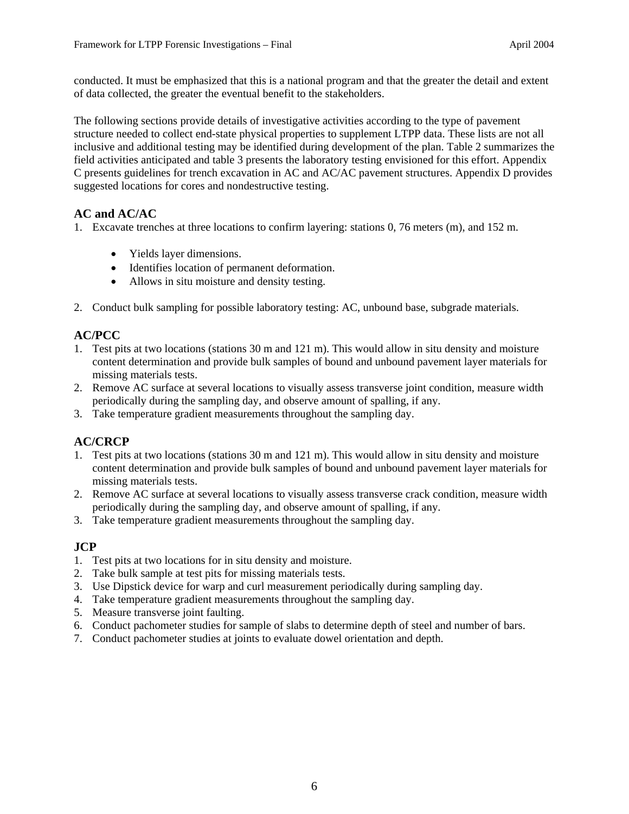conducted. It must be emphasized that this is a national program and that the greater the detail and extent of data collected, the greater the eventual benefit to the stakeholders.

The following sections provide details of investigative activities according to the type of pavement structure needed to collect end-state physical properties to supplement LTPP data. These lists are not all inclusive and additional testing may be identified during development of the plan. Table 2 summarizes the field activities anticipated and table 3 presents the laboratory testing envisioned for this effort. Appendix C presents guidelines for trench excavation in AC and AC/AC pavement structures. Appendix D provides suggested locations for cores and nondestructive testing.

### **AC and AC/AC**

1. Excavate trenches at three locations to confirm layering: stations 0, 76 meters (m), and 152 m.

- Yields layer dimensions.
- Identifies location of permanent deformation.
- Allows in situ moisture and density testing.
- 2. Conduct bulk sampling for possible laboratory testing: AC, unbound base, subgrade materials.

### **AC/PCC**

- 1. Test pits at two locations (stations 30 m and 121 m). This would allow in situ density and moisture content determination and provide bulk samples of bound and unbound pavement layer materials for missing materials tests.
- 2. Remove AC surface at several locations to visually assess transverse joint condition, measure width periodically during the sampling day, and observe amount of spalling, if any.
- 3. Take temperature gradient measurements throughout the sampling day.

### **AC/CRCP**

- 1. Test pits at two locations (stations 30 m and 121 m). This would allow in situ density and moisture content determination and provide bulk samples of bound and unbound pavement layer materials for missing materials tests.
- 2. Remove AC surface at several locations to visually assess transverse crack condition, measure width periodically during the sampling day, and observe amount of spalling, if any.
- 3. Take temperature gradient measurements throughout the sampling day.

#### **JCP**

- 1. Test pits at two locations for in situ density and moisture.
- 2. Take bulk sample at test pits for missing materials tests.
- 3. Use Dipstick device for warp and curl measurement periodically during sampling day.
- 4. Take temperature gradient measurements throughout the sampling day.
- 5. Measure transverse joint faulting.
- 6. Conduct pachometer studies for sample of slabs to determine depth of steel and number of bars.
- 7. Conduct pachometer studies at joints to evaluate dowel orientation and depth.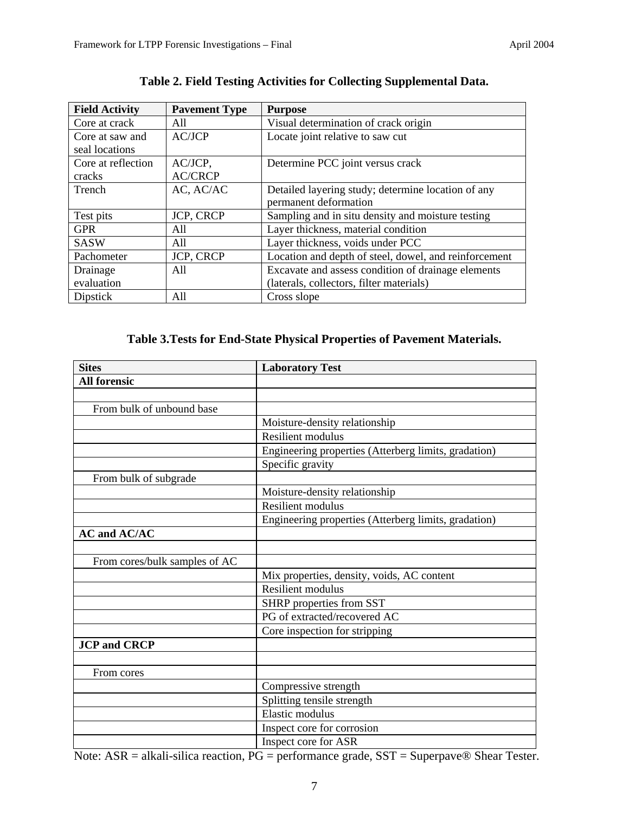| <b>Field Activity</b> | <b>Pavement Type</b> | <b>Purpose</b>                                        |
|-----------------------|----------------------|-------------------------------------------------------|
| Core at crack         | All                  | Visual determination of crack origin                  |
| Core at saw and       | AC/JCP               | Locate joint relative to saw cut                      |
| seal locations        |                      |                                                       |
| Core at reflection    | AC/JCP,              | Determine PCC joint versus crack                      |
| cracks                | <b>AC/CRCP</b>       |                                                       |
| Trench                | AC, AC/AC            | Detailed layering study; determine location of any    |
|                       |                      | permanent deformation                                 |
| Test pits             | <b>JCP, CRCP</b>     | Sampling and in situ density and moisture testing     |
| <b>GPR</b>            | A11                  | Layer thickness, material condition                   |
| <b>SASW</b>           | A11                  | Layer thickness, voids under PCC                      |
| Pachometer            | <b>JCP, CRCP</b>     | Location and depth of steel, dowel, and reinforcement |
| Drainage              | All                  | Excavate and assess condition of drainage elements    |
| evaluation            |                      | (laterals, collectors, filter materials)              |
| Dipstick              | All                  | Cross slope                                           |

## **Table 2. Field Testing Activities for Collecting Supplemental Data.**

## **Table 3.Tests for End-State Physical Properties of Pavement Materials.**

| <b>Sites</b>                  | <b>Laboratory Test</b>                               |
|-------------------------------|------------------------------------------------------|
| <b>All forensic</b>           |                                                      |
|                               |                                                      |
| From bulk of unbound base     |                                                      |
|                               | Moisture-density relationship                        |
|                               | <b>Resilient modulus</b>                             |
|                               | Engineering properties (Atterberg limits, gradation) |
|                               | Specific gravity                                     |
| From bulk of subgrade         |                                                      |
|                               | Moisture-density relationship                        |
|                               | <b>Resilient modulus</b>                             |
|                               | Engineering properties (Atterberg limits, gradation) |
| <b>AC and AC/AC</b>           |                                                      |
|                               |                                                      |
| From cores/bulk samples of AC |                                                      |
|                               | Mix properties, density, voids, AC content           |
|                               | <b>Resilient modulus</b>                             |
|                               | SHRP properties from SST                             |
|                               | PG of extracted/recovered AC                         |
|                               | Core inspection for stripping                        |
| <b>JCP</b> and <b>CRCP</b>    |                                                      |
|                               |                                                      |
| From cores                    |                                                      |
|                               | Compressive strength                                 |
|                               | Splitting tensile strength                           |
|                               | Elastic modulus                                      |
|                               | Inspect core for corrosion                           |
|                               | Inspect core for ASR                                 |

Note: ASR = alkali-silica reaction, PG = performance grade, SST = Superpave® Shear Tester.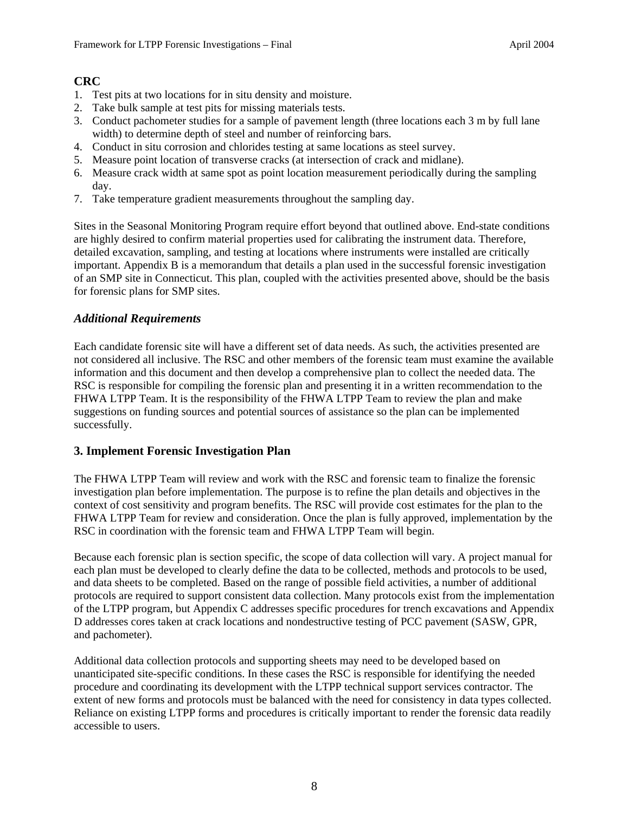### **CRC**

- 1. Test pits at two locations for in situ density and moisture.
- 2. Take bulk sample at test pits for missing materials tests.
- 3. Conduct pachometer studies for a sample of pavement length (three locations each 3 m by full lane width) to determine depth of steel and number of reinforcing bars.
- 4. Conduct in situ corrosion and chlorides testing at same locations as steel survey.
- 5. Measure point location of transverse cracks (at intersection of crack and midlane).
- 6. Measure crack width at same spot as point location measurement periodically during the sampling day.
- 7. Take temperature gradient measurements throughout the sampling day.

Sites in the Seasonal Monitoring Program require effort beyond that outlined above. End-state conditions are highly desired to confirm material properties used for calibrating the instrument data. Therefore, detailed excavation, sampling, and testing at locations where instruments were installed are critically important. Appendix B is a memorandum that details a plan used in the successful forensic investigation of an SMP site in Connecticut. This plan, coupled with the activities presented above, should be the basis for forensic plans for SMP sites.

#### *Additional Requirements*

Each candidate forensic site will have a different set of data needs. As such, the activities presented are not considered all inclusive. The RSC and other members of the forensic team must examine the available information and this document and then develop a comprehensive plan to collect the needed data. The RSC is responsible for compiling the forensic plan and presenting it in a written recommendation to the FHWA LTPP Team. It is the responsibility of the FHWA LTPP Team to review the plan and make suggestions on funding sources and potential sources of assistance so the plan can be implemented successfully.

#### **3. Implement Forensic Investigation Plan**

The FHWA LTPP Team will review and work with the RSC and forensic team to finalize the forensic investigation plan before implementation. The purpose is to refine the plan details and objectives in the context of cost sensitivity and program benefits. The RSC will provide cost estimates for the plan to the FHWA LTPP Team for review and consideration. Once the plan is fully approved, implementation by the RSC in coordination with the forensic team and FHWA LTPP Team will begin.

Because each forensic plan is section specific, the scope of data collection will vary. A project manual for each plan must be developed to clearly define the data to be collected, methods and protocols to be used, and data sheets to be completed. Based on the range of possible field activities, a number of additional protocols are required to support consistent data collection. Many protocols exist from the implementation of the LTPP program, but Appendix C addresses specific procedures for trench excavations and Appendix D addresses cores taken at crack locations and nondestructive testing of PCC pavement (SASW, GPR, and pachometer).

Additional data collection protocols and supporting sheets may need to be developed based on unanticipated site-specific conditions. In these cases the RSC is responsible for identifying the needed procedure and coordinating its development with the LTPP technical support services contractor. The extent of new forms and protocols must be balanced with the need for consistency in data types collected. Reliance on existing LTPP forms and procedures is critically important to render the forensic data readily accessible to users.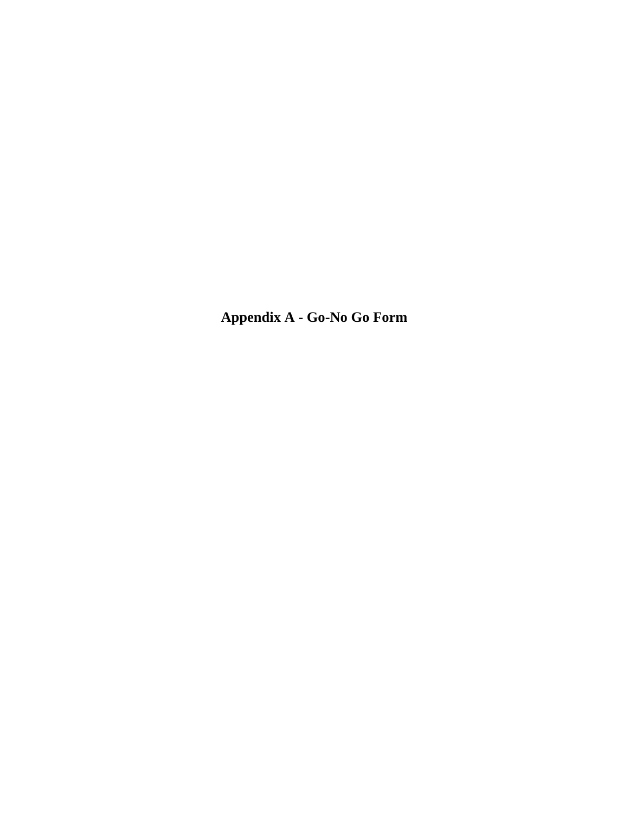**Appendix A - Go-No Go Form**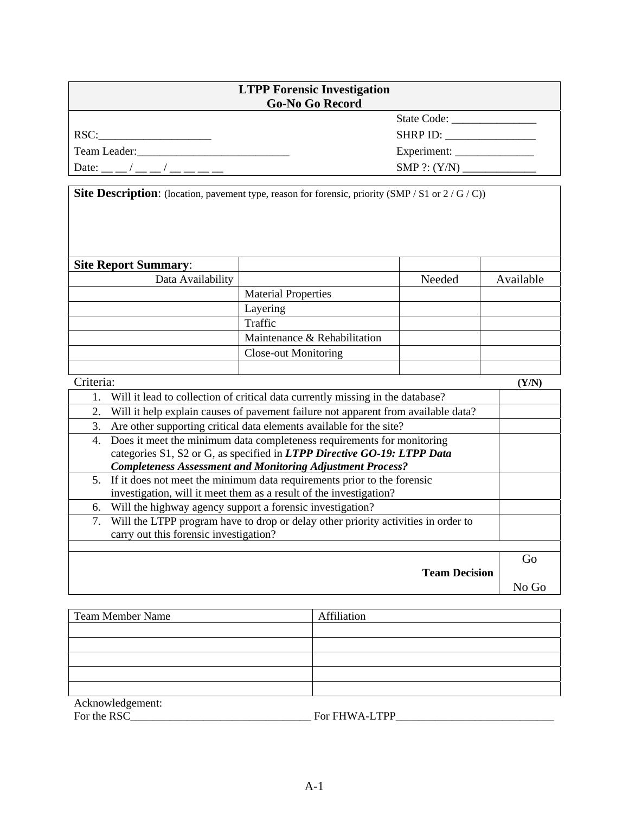| <b>LTPP Forensic Investigation</b><br><b>Go-No Go Record</b> |                                                           |  |  |  |
|--------------------------------------------------------------|-----------------------------------------------------------|--|--|--|
|                                                              |                                                           |  |  |  |
| RSC:                                                         | $SHRP$ ID: $\_\_\_\_\_\_\_\_\_\_\_\_\_\_\_\_\_\_\_\_\_\_$ |  |  |  |
| Team Leader:                                                 |                                                           |  |  |  |
| Date: $\frac{1}{2}$ /                                        | SMP $?: (Y/N)$                                            |  |  |  |

**Site Description**: (location, pavement type, reason for forensic, priority (SMP / S1 or 2 / G / C))

| <b>Site Report Summary:</b> |                              |        |           |
|-----------------------------|------------------------------|--------|-----------|
| Data Availability           |                              | Needed | Available |
|                             | <b>Material Properties</b>   |        |           |
|                             | Layering                     |        |           |
|                             | Traffic                      |        |           |
|                             | Maintenance & Rehabilitation |        |           |
|                             | <b>Close-out Monitoring</b>  |        |           |
|                             |                              |        |           |
| Criteria:                   |                              |        | (Y/N      |

| Will it lead to collection of critical data currently missing in the database?          |    |
|-----------------------------------------------------------------------------------------|----|
| Will it help explain causes of pavement failure not apparent from available data?<br>2. |    |
| Are other supporting critical data elements available for the site?<br>3.               |    |
| Does it meet the minimum data completeness requirements for monitoring<br>4.            |    |
| categories S1, S2 or G, as specified in LTPP Directive GO-19: LTPP Data                 |    |
| <b>Completeness Assessment and Monitoring Adjustment Process?</b>                       |    |
| 5. If it does not meet the minimum data requirements prior to the forensic              |    |
| investigation, will it meet them as a result of the investigation?                      |    |
| Will the highway agency support a forensic investigation?<br>6.                         |    |
| Will the LTPP program have to drop or delay other priority activities in order to<br>7. |    |
| carry out this forensic investigation?                                                  |    |
|                                                                                         |    |
|                                                                                         | Go |
| <b>Team Decision</b>                                                                    |    |
|                                                                                         |    |

| <b>Team Member Name</b> | Affiliation   |
|-------------------------|---------------|
|                         |               |
|                         |               |
|                         |               |
|                         |               |
|                         |               |
| Acknowledgement:        |               |
| For the RSC_            | For FHWA-LTPP |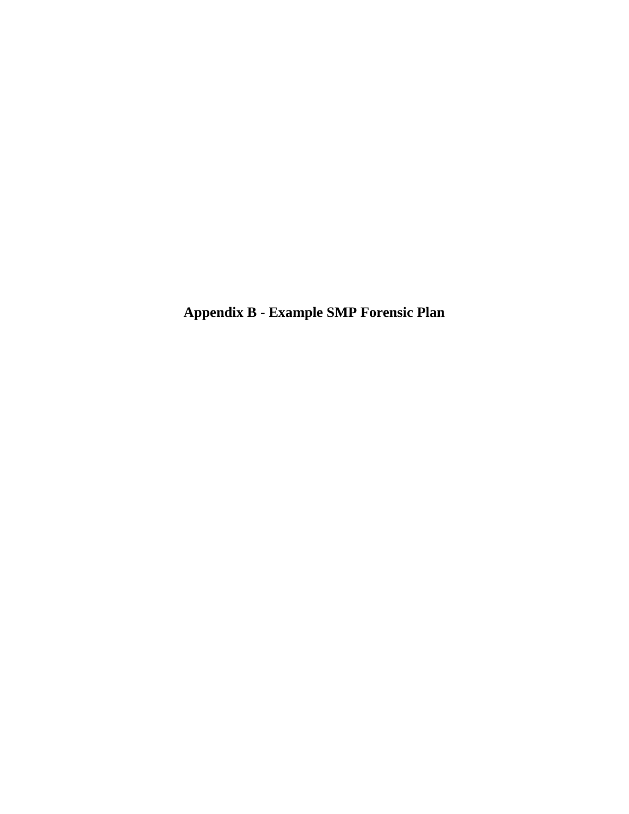**Appendix B - Example SMP Forensic Plan**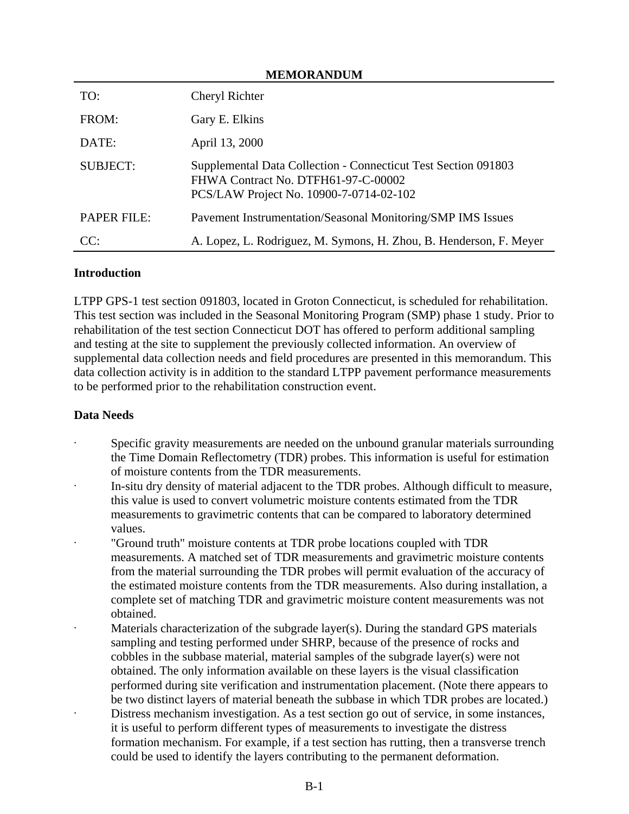| <b>MEMORANDUM</b>  |                                                                                                                                                  |  |  |  |
|--------------------|--------------------------------------------------------------------------------------------------------------------------------------------------|--|--|--|
| TO:                | Cheryl Richter                                                                                                                                   |  |  |  |
| FROM:              | Gary E. Elkins                                                                                                                                   |  |  |  |
| DATE:              | April 13, 2000                                                                                                                                   |  |  |  |
| <b>SUBJECT:</b>    | Supplemental Data Collection - Connecticut Test Section 091803<br>FHWA Contract No. DTFH61-97-C-00002<br>PCS/LAW Project No. 10900-7-0714-02-102 |  |  |  |
| <b>PAPER FILE:</b> | Pavement Instrumentation/Seasonal Monitoring/SMP IMS Issues                                                                                      |  |  |  |
| CC:                | A. Lopez, L. Rodriguez, M. Symons, H. Zhou, B. Henderson, F. Meyer                                                                               |  |  |  |

#### **Introduction**

LTPP GPS-1 test section 091803, located in Groton Connecticut, is scheduled for rehabilitation. This test section was included in the Seasonal Monitoring Program (SMP) phase 1 study. Prior to rehabilitation of the test section Connecticut DOT has offered to perform additional sampling and testing at the site to supplement the previously collected information. An overview of supplemental data collection needs and field procedures are presented in this memorandum. This data collection activity is in addition to the standard LTPP pavement performance measurements to be performed prior to the rehabilitation construction event.

### **Data Needs**

- Specific gravity measurements are needed on the unbound granular materials surrounding the Time Domain Reflectometry (TDR) probes. This information is useful for estimation of moisture contents from the TDR measurements.
- In-situ dry density of material adjacent to the TDR probes. Although difficult to measure, this value is used to convert volumetric moisture contents estimated from the TDR measurements to gravimetric contents that can be compared to laboratory determined values.
- · "Ground truth" moisture contents at TDR probe locations coupled with TDR measurements. A matched set of TDR measurements and gravimetric moisture contents from the material surrounding the TDR probes will permit evaluation of the accuracy of the estimated moisture contents from the TDR measurements. Also during installation, a complete set of matching TDR and gravimetric moisture content measurements was not obtained.
- Materials characterization of the subgrade layer(s). During the standard GPS materials sampling and testing performed under SHRP, because of the presence of rocks and cobbles in the subbase material, material samples of the subgrade layer(s) were not obtained. The only information available on these layers is the visual classification performed during site verification and instrumentation placement. (Note there appears to be two distinct layers of material beneath the subbase in which TDR probes are located.) Distress mechanism investigation. As a test section go out of service, in some instances, it is useful to perform different types of measurements to investigate the distress formation mechanism. For example, if a test section has rutting, then a transverse trench could be used to identify the layers contributing to the permanent deformation.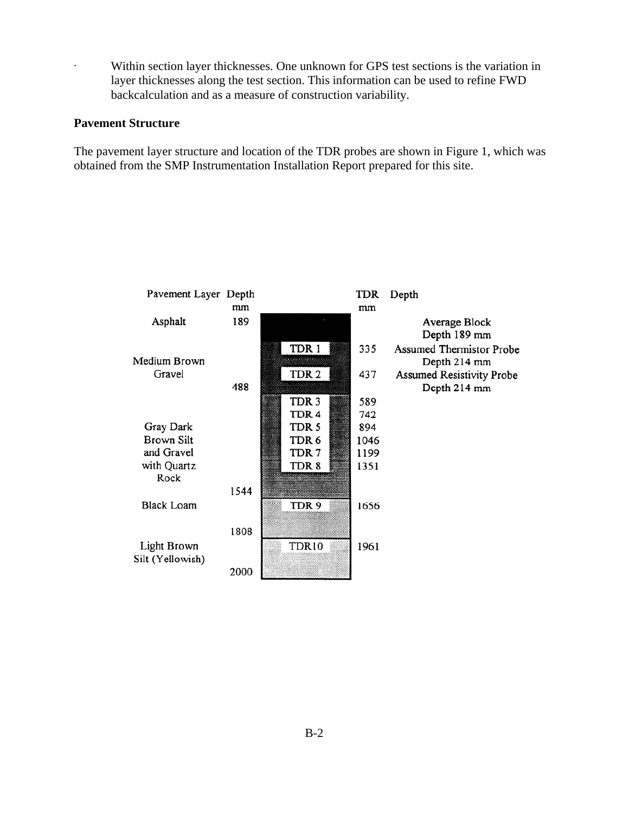· Within section layer thicknesses. One unknown for GPS test sections is the variation in layer thicknesses along the test section. This information can be used to refine FWD backcalculation and as a measure of construction variability.

#### **Pavement Structure**

The pavement layer structure and location of the TDR probes are shown in Figure 1, which was obtained from the SMP Instrumentation Installation Report prepared for this site.

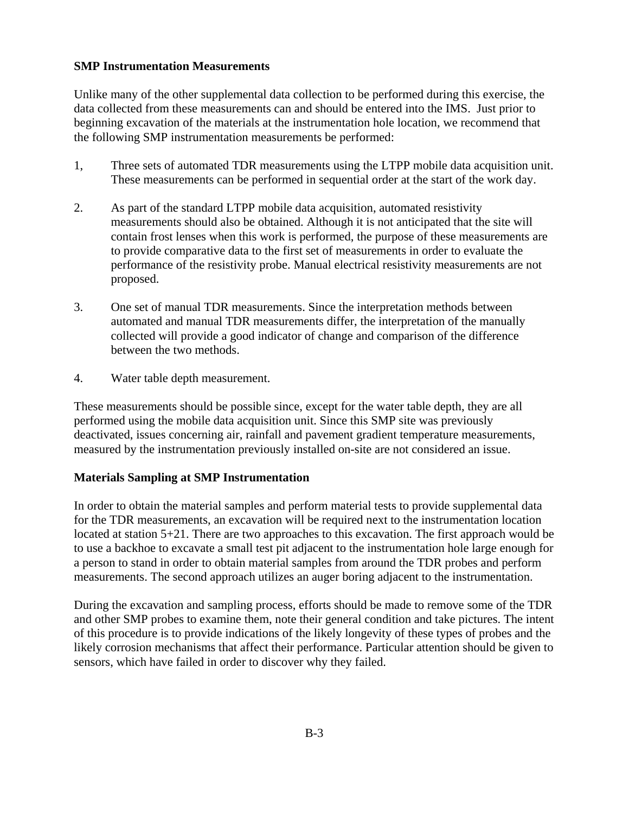#### **SMP Instrumentation Measurements**

Unlike many of the other supplemental data collection to be performed during this exercise, the data collected from these measurements can and should be entered into the IMS. Just prior to beginning excavation of the materials at the instrumentation hole location, we recommend that the following SMP instrumentation measurements be performed:

- 1, Three sets of automated TDR measurements using the LTPP mobile data acquisition unit. These measurements can be performed in sequential order at the start of the work day.
- 2. As part of the standard LTPP mobile data acquisition, automated resistivity measurements should also be obtained. Although it is not anticipated that the site will contain frost lenses when this work is performed, the purpose of these measurements are to provide comparative data to the first set of measurements in order to evaluate the performance of the resistivity probe. Manual electrical resistivity measurements are not proposed.
- 3. One set of manual TDR measurements. Since the interpretation methods between automated and manual TDR measurements differ, the interpretation of the manually collected will provide a good indicator of change and comparison of the difference between the two methods.
- 4. Water table depth measurement.

These measurements should be possible since, except for the water table depth, they are all performed using the mobile data acquisition unit. Since this SMP site was previously deactivated, issues concerning air, rainfall and pavement gradient temperature measurements, measured by the instrumentation previously installed on-site are not considered an issue.

#### **Materials Sampling at SMP Instrumentation**

In order to obtain the material samples and perform material tests to provide supplemental data for the TDR measurements, an excavation will be required next to the instrumentation location located at station 5+21. There are two approaches to this excavation. The first approach would be to use a backhoe to excavate a small test pit adjacent to the instrumentation hole large enough for a person to stand in order to obtain material samples from around the TDR probes and perform measurements. The second approach utilizes an auger boring adjacent to the instrumentation.

During the excavation and sampling process, efforts should be made to remove some of the TDR and other SMP probes to examine them, note their general condition and take pictures. The intent of this procedure is to provide indications of the likely longevity of these types of probes and the likely corrosion mechanisms that affect their performance. Particular attention should be given to sensors, which have failed in order to discover why they failed.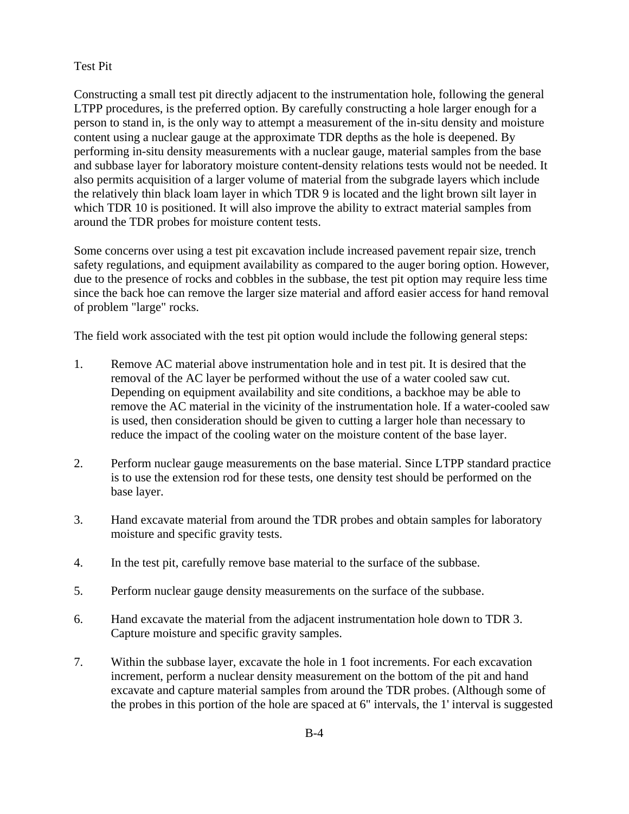#### Test Pit

Constructing a small test pit directly adjacent to the instrumentation hole, following the general LTPP procedures, is the preferred option. By carefully constructing a hole larger enough for a person to stand in, is the only way to attempt a measurement of the in-situ density and moisture content using a nuclear gauge at the approximate TDR depths as the hole is deepened. By performing in-situ density measurements with a nuclear gauge, material samples from the base and subbase layer for laboratory moisture content-density relations tests would not be needed. It also permits acquisition of a larger volume of material from the subgrade layers which include the relatively thin black loam layer in which TDR 9 is located and the light brown silt layer in which TDR 10 is positioned. It will also improve the ability to extract material samples from around the TDR probes for moisture content tests.

Some concerns over using a test pit excavation include increased pavement repair size, trench safety regulations, and equipment availability as compared to the auger boring option. However, due to the presence of rocks and cobbles in the subbase, the test pit option may require less time since the back hoe can remove the larger size material and afford easier access for hand removal of problem "large" rocks.

The field work associated with the test pit option would include the following general steps:

- 1. Remove AC material above instrumentation hole and in test pit. It is desired that the removal of the AC layer be performed without the use of a water cooled saw cut. Depending on equipment availability and site conditions, a backhoe may be able to remove the AC material in the vicinity of the instrumentation hole. If a water-cooled saw is used, then consideration should be given to cutting a larger hole than necessary to reduce the impact of the cooling water on the moisture content of the base layer.
- 2. Perform nuclear gauge measurements on the base material. Since LTPP standard practice is to use the extension rod for these tests, one density test should be performed on the base layer.
- 3. Hand excavate material from around the TDR probes and obtain samples for laboratory moisture and specific gravity tests.
- 4. In the test pit, carefully remove base material to the surface of the subbase.
- 5. Perform nuclear gauge density measurements on the surface of the subbase.
- 6. Hand excavate the material from the adjacent instrumentation hole down to TDR 3. Capture moisture and specific gravity samples.
- 7. Within the subbase layer, excavate the hole in 1 foot increments. For each excavation increment, perform a nuclear density measurement on the bottom of the pit and hand excavate and capture material samples from around the TDR probes. (Although some of the probes in this portion of the hole are spaced at 6" intervals, the 1' interval is suggested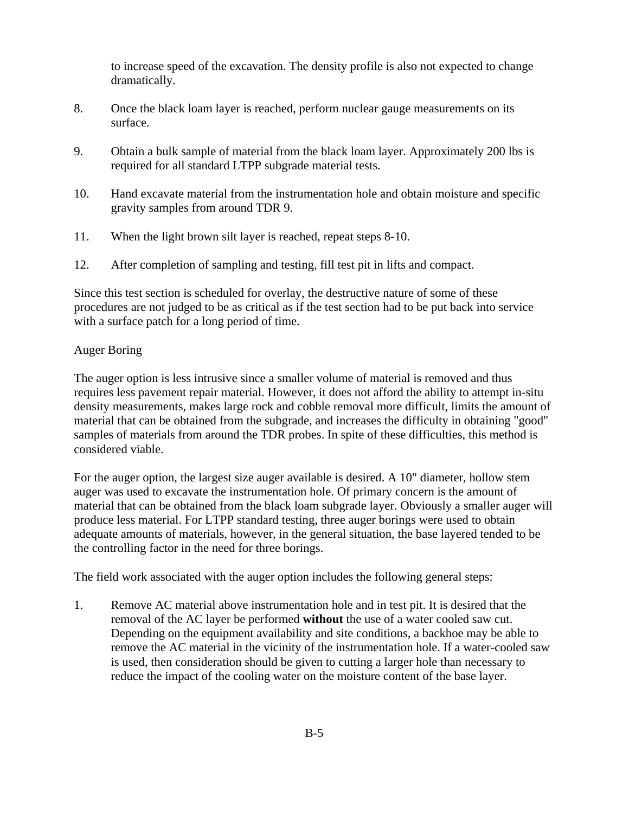to increase speed of the excavation. The density profile is also not expected to change dramatically.

- 8. Once the black loam layer is reached, perform nuclear gauge measurements on its surface.
- 9. Obtain a bulk sample of material from the black loam layer. Approximately 200 lbs is required for all standard LTPP subgrade material tests.
- 10. Hand excavate material from the instrumentation hole and obtain moisture and specific gravity samples from around TDR 9.
- 11. When the light brown silt layer is reached, repeat steps 8-10.
- 12. After completion of sampling and testing, fill test pit in lifts and compact.

Since this test section is scheduled for overlay, the destructive nature of some of these procedures are not judged to be as critical as if the test section had to be put back into service with a surface patch for a long period of time.

### Auger Boring

The auger option is less intrusive since a smaller volume of material is removed and thus requires less pavement repair material. However, it does not afford the ability to attempt in-situ density measurements, makes large rock and cobble removal more difficult, limits the amount of material that can be obtained from the subgrade, and increases the difficulty in obtaining "good" samples of materials from around the TDR probes. In spite of these difficulties, this method is considered viable.

For the auger option, the largest size auger available is desired. A 10" diameter, hollow stem auger was used to excavate the instrumentation hole. Of primary concern is the amount of material that can be obtained from the black loam subgrade layer. Obviously a smaller auger will produce less material. For LTPP standard testing, three auger borings were used to obtain adequate amounts of materials, however, in the general situation, the base layered tended to be the controlling factor in the need for three borings.

The field work associated with the auger option includes the following general steps:

1. Remove AC material above instrumentation hole and in test pit. It is desired that the removal of the AC layer be performed **without** the use of a water cooled saw cut. Depending on the equipment availability and site conditions, a backhoe may be able to remove the AC material in the vicinity of the instrumentation hole. If a water-cooled saw is used, then consideration should be given to cutting a larger hole than necessary to reduce the impact of the cooling water on the moisture content of the base layer.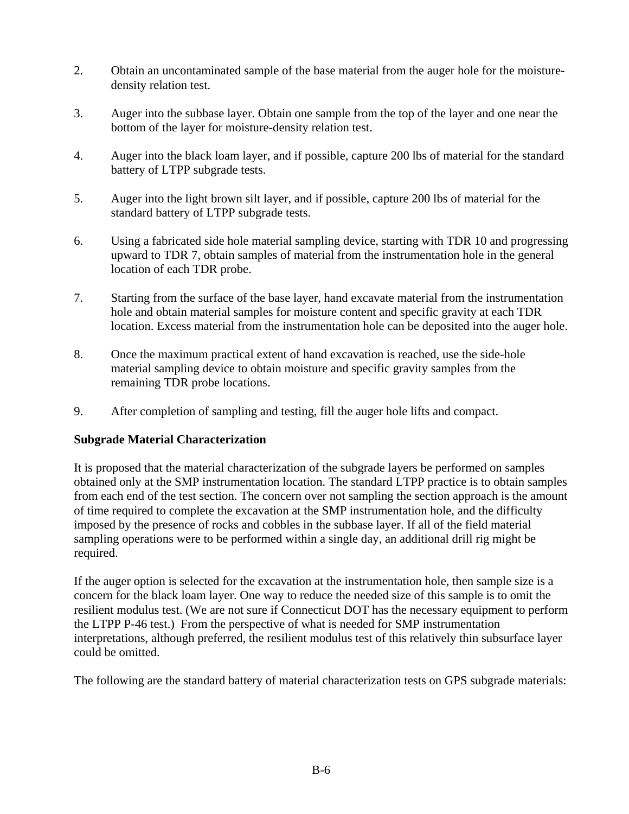- 2. Obtain an uncontaminated sample of the base material from the auger hole for the moisturedensity relation test.
- 3. Auger into the subbase layer. Obtain one sample from the top of the layer and one near the bottom of the layer for moisture-density relation test.
- 4. Auger into the black loam layer, and if possible, capture 200 lbs of material for the standard battery of LTPP subgrade tests.
- 5. Auger into the light brown silt layer, and if possible, capture 200 lbs of material for the standard battery of LTPP subgrade tests.
- 6. Using a fabricated side hole material sampling device, starting with TDR 10 and progressing upward to TDR 7, obtain samples of material from the instrumentation hole in the general location of each TDR probe.
- 7. Starting from the surface of the base layer, hand excavate material from the instrumentation hole and obtain material samples for moisture content and specific gravity at each TDR location. Excess material from the instrumentation hole can be deposited into the auger hole.
- 8. Once the maximum practical extent of hand excavation is reached, use the side-hole material sampling device to obtain moisture and specific gravity samples from the remaining TDR probe locations.
- 9. After completion of sampling and testing, fill the auger hole lifts and compact.

### **Subgrade Material Characterization**

It is proposed that the material characterization of the subgrade layers be performed on samples obtained only at the SMP instrumentation location. The standard LTPP practice is to obtain samples from each end of the test section. The concern over not sampling the section approach is the amount of time required to complete the excavation at the SMP instrumentation hole, and the difficulty imposed by the presence of rocks and cobbles in the subbase layer. If all of the field material sampling operations were to be performed within a single day, an additional drill rig might be required.

If the auger option is selected for the excavation at the instrumentation hole, then sample size is a concern for the black loam layer. One way to reduce the needed size of this sample is to omit the resilient modulus test. (We are not sure if Connecticut DOT has the necessary equipment to perform the LTPP P-46 test.) From the perspective of what is needed for SMP instrumentation interpretations, although preferred, the resilient modulus test of this relatively thin subsurface layer could be omitted.

The following are the standard battery of material characterization tests on GPS subgrade materials: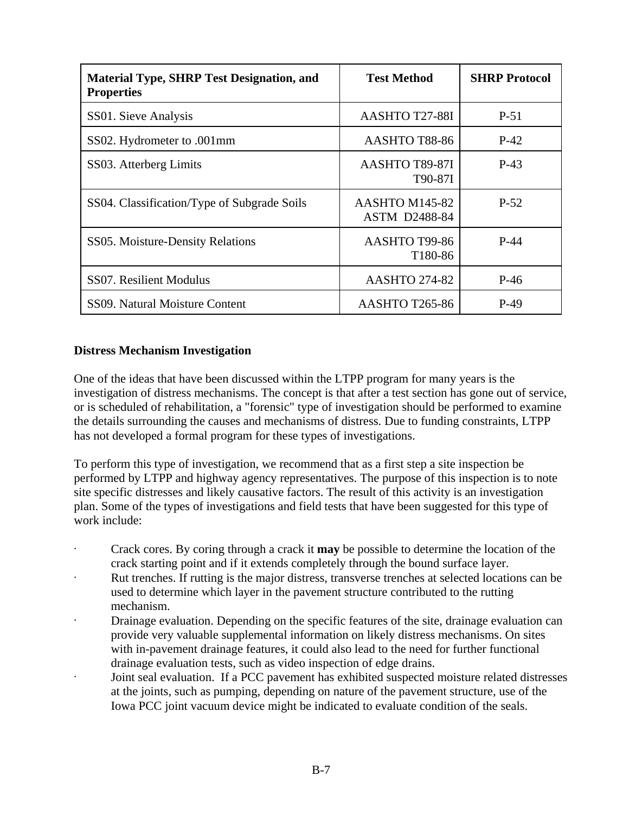| <b>Material Type, SHRP Test Designation, and</b><br><b>Properties</b> | <b>Test Method</b>                     | <b>SHRP Protocol</b> |
|-----------------------------------------------------------------------|----------------------------------------|----------------------|
| SS01. Sieve Analysis                                                  | AASHTO T27-88I                         | P-51                 |
| SS02. Hydrometer to .001mm                                            | AASHTO T88-86                          | $P-42$               |
| SS03. Atterberg Limits                                                | AASHTO T89-87I<br>T90-87I              | $P-43$               |
| SS04. Classification/Type of Subgrade Soils                           | AASHTO M145-82<br><b>ASTM D2488-84</b> | $P-52$               |
| SS05. Moisture-Density Relations                                      | AASHTO T99-86<br>T180-86               | $P-44$               |
| SS07. Resilient Modulus                                               | <b>AASHTO 274-82</b>                   | $P-46$               |
| SS09. Natural Moisture Content                                        | <b>AASHTO T265-86</b>                  | $P-49$               |

### **Distress Mechanism Investigation**

One of the ideas that have been discussed within the LTPP program for many years is the investigation of distress mechanisms. The concept is that after a test section has gone out of service, or is scheduled of rehabilitation, a "forensic" type of investigation should be performed to examine the details surrounding the causes and mechanisms of distress. Due to funding constraints, LTPP has not developed a formal program for these types of investigations.

To perform this type of investigation, we recommend that as a first step a site inspection be performed by LTPP and highway agency representatives. The purpose of this inspection is to note site specific distresses and likely causative factors. The result of this activity is an investigation plan. Some of the types of investigations and field tests that have been suggested for this type of work include:

- · Crack cores. By coring through a crack it **may** be possible to determine the location of the crack starting point and if it extends completely through the bound surface layer.
- · Rut trenches. If rutting is the major distress, transverse trenches at selected locations can be used to determine which layer in the pavement structure contributed to the rutting mechanism.
- Drainage evaluation. Depending on the specific features of the site, drainage evaluation can provide very valuable supplemental information on likely distress mechanisms. On sites with in-pavement drainage features, it could also lead to the need for further functional drainage evaluation tests, such as video inspection of edge drains.
- Joint seal evaluation. If a PCC pavement has exhibited suspected moisture related distresses at the joints, such as pumping, depending on nature of the pavement structure, use of the Iowa PCC joint vacuum device might be indicated to evaluate condition of the seals.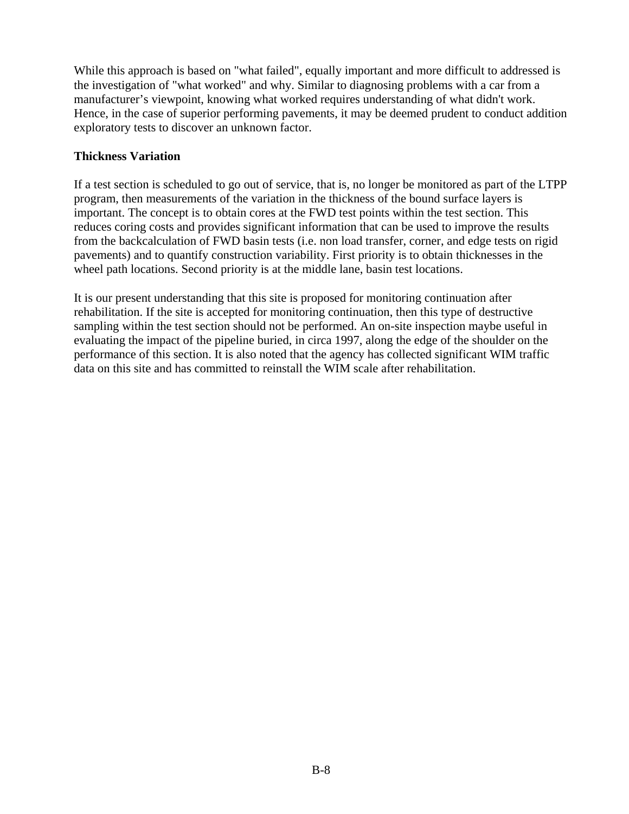While this approach is based on "what failed", equally important and more difficult to addressed is the investigation of "what worked" and why. Similar to diagnosing problems with a car from a manufacturer's viewpoint, knowing what worked requires understanding of what didn't work. Hence, in the case of superior performing pavements, it may be deemed prudent to conduct addition exploratory tests to discover an unknown factor.

### **Thickness Variation**

If a test section is scheduled to go out of service, that is, no longer be monitored as part of the LTPP program, then measurements of the variation in the thickness of the bound surface layers is important. The concept is to obtain cores at the FWD test points within the test section. This reduces coring costs and provides significant information that can be used to improve the results from the backcalculation of FWD basin tests (i.e. non load transfer, corner, and edge tests on rigid pavements) and to quantify construction variability. First priority is to obtain thicknesses in the wheel path locations. Second priority is at the middle lane, basin test locations.

It is our present understanding that this site is proposed for monitoring continuation after rehabilitation. If the site is accepted for monitoring continuation, then this type of destructive sampling within the test section should not be performed. An on-site inspection maybe useful in evaluating the impact of the pipeline buried, in circa 1997, along the edge of the shoulder on the performance of this section. It is also noted that the agency has collected significant WIM traffic data on this site and has committed to reinstall the WIM scale after rehabilitation.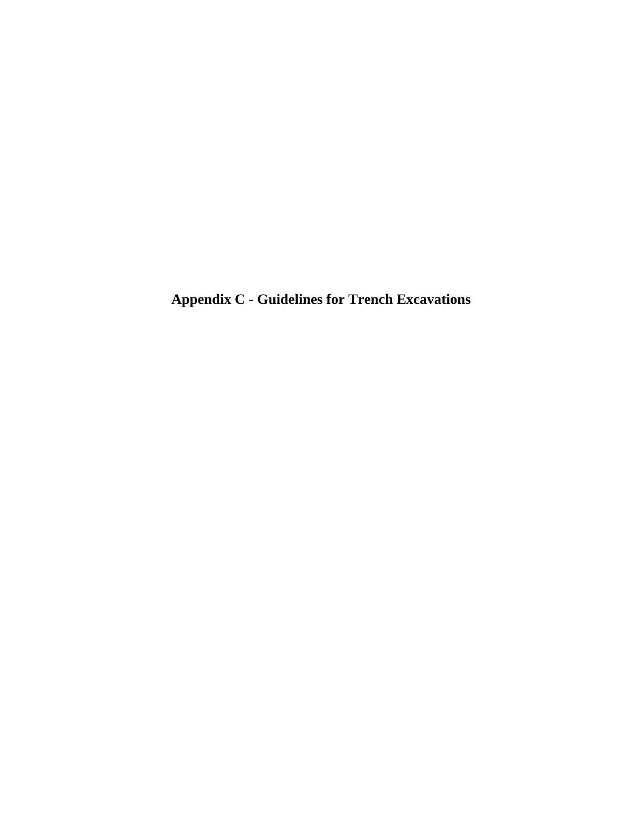**Appendix C - Guidelines for Trench Excavations**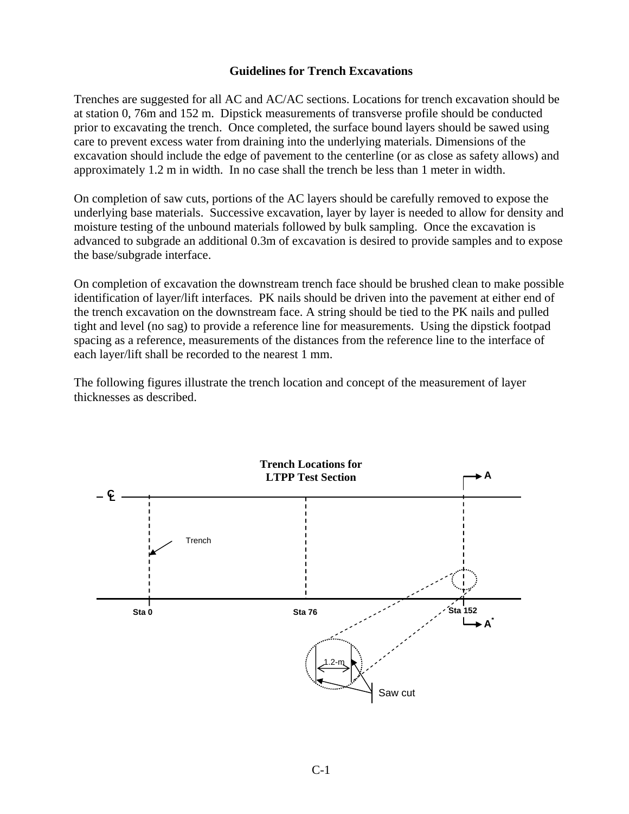### **Guidelines for Trench Excavations**

Trenches are suggested for all AC and AC/AC sections. Locations for trench excavation should be at station 0, 76m and 152 m. Dipstick measurements of transverse profile should be conducted prior to excavating the trench. Once completed, the surface bound layers should be sawed using care to prevent excess water from draining into the underlying materials. Dimensions of the excavation should include the edge of pavement to the centerline (or as close as safety allows) and approximately 1.2 m in width. In no case shall the trench be less than 1 meter in width.

On completion of saw cuts, portions of the AC layers should be carefully removed to expose the underlying base materials. Successive excavation, layer by layer is needed to allow for density and moisture testing of the unbound materials followed by bulk sampling. Once the excavation is advanced to subgrade an additional 0.3m of excavation is desired to provide samples and to expose the base/subgrade interface.

On completion of excavation the downstream trench face should be brushed clean to make possible identification of layer/lift interfaces. PK nails should be driven into the pavement at either end of the trench excavation on the downstream face. A string should be tied to the PK nails and pulled tight and level (no sag) to provide a reference line for measurements. Using the dipstick footpad spacing as a reference, measurements of the distances from the reference line to the interface of each layer/lift shall be recorded to the nearest 1 mm.

The following figures illustrate the trench location and concept of the measurement of layer thicknesses as described.

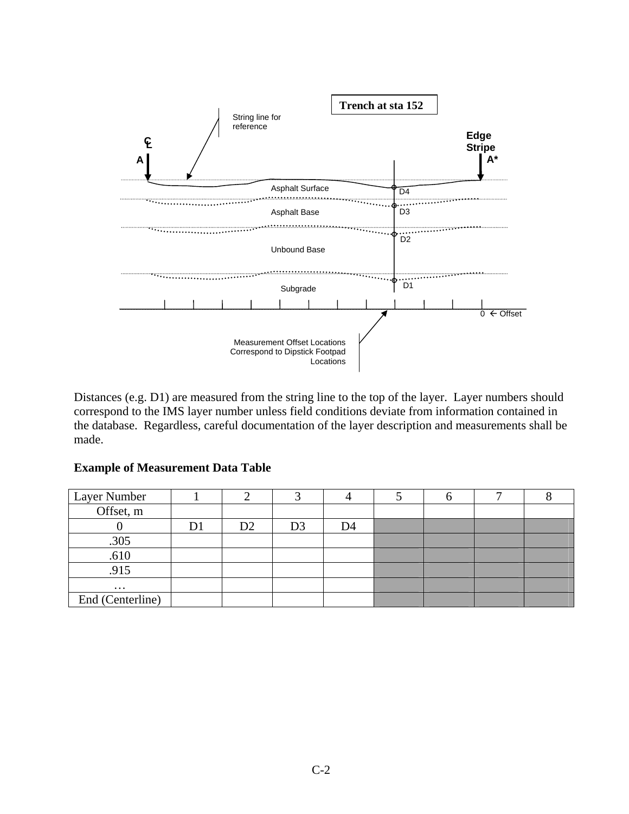

Distances (e.g. D1) are measured from the string line to the top of the layer. Layer numbers should correspond to the IMS layer number unless field conditions deviate from information contained in the database. Regardless, careful documentation of the layer description and measurements shall be made.

| Layer Number     |    |    |                |    |  |  |
|------------------|----|----|----------------|----|--|--|
| Offset, m        |    |    |                |    |  |  |
|                  | D. | D2 | D <sub>3</sub> | D4 |  |  |
| .305             |    |    |                |    |  |  |
| .610             |    |    |                |    |  |  |
| .915             |    |    |                |    |  |  |
| $\cdots$         |    |    |                |    |  |  |
| End (Centerline) |    |    |                |    |  |  |

### **Example of Measurement Data Table**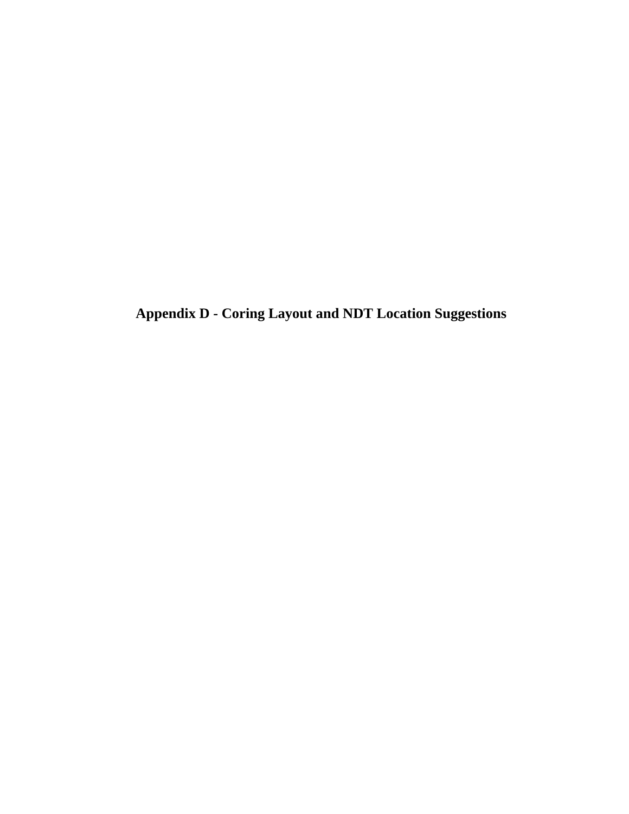**Appendix D - Coring Layout and NDT Location Suggestions**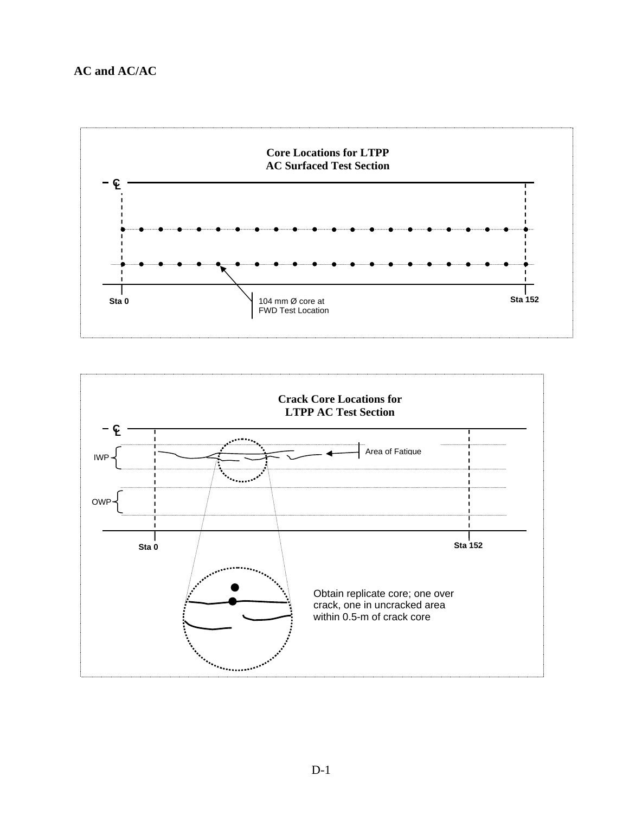### **AC and AC/AC**



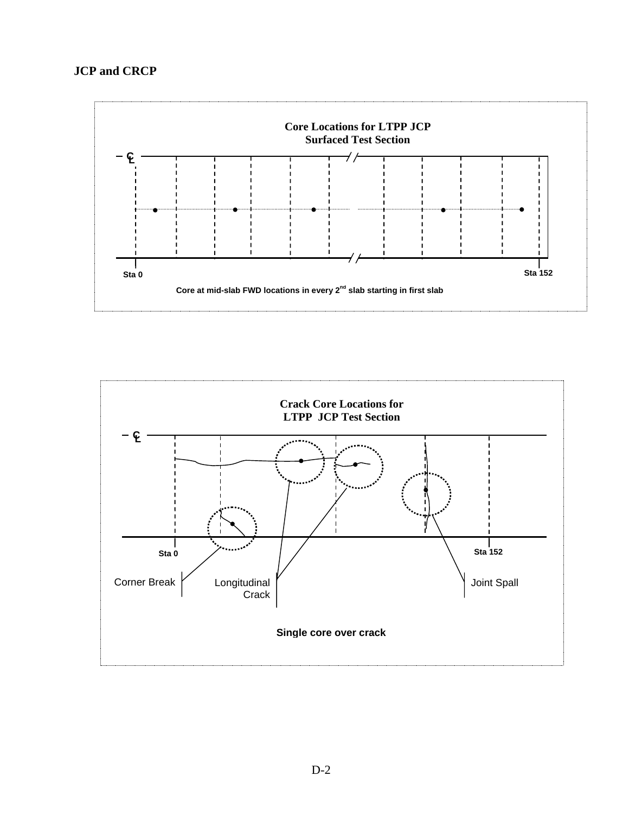

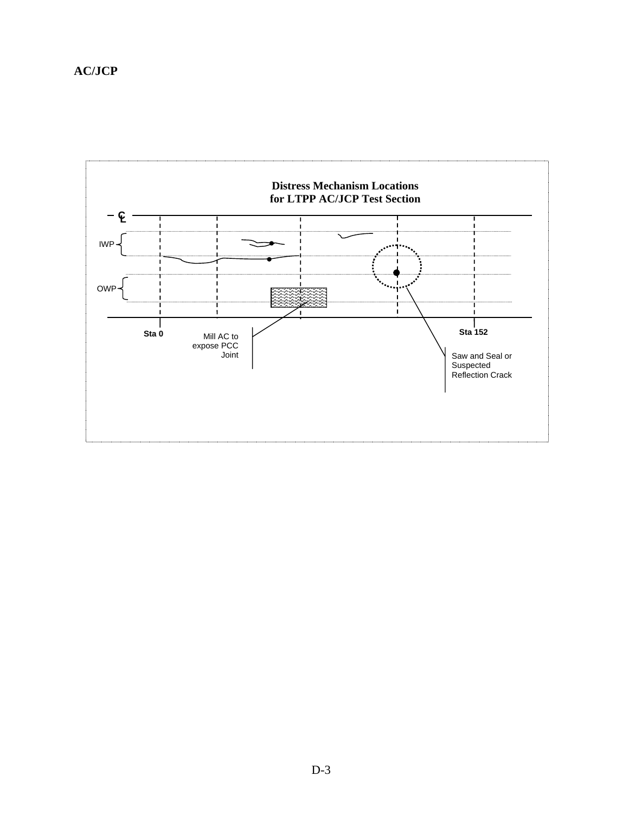## **AC/JCP**